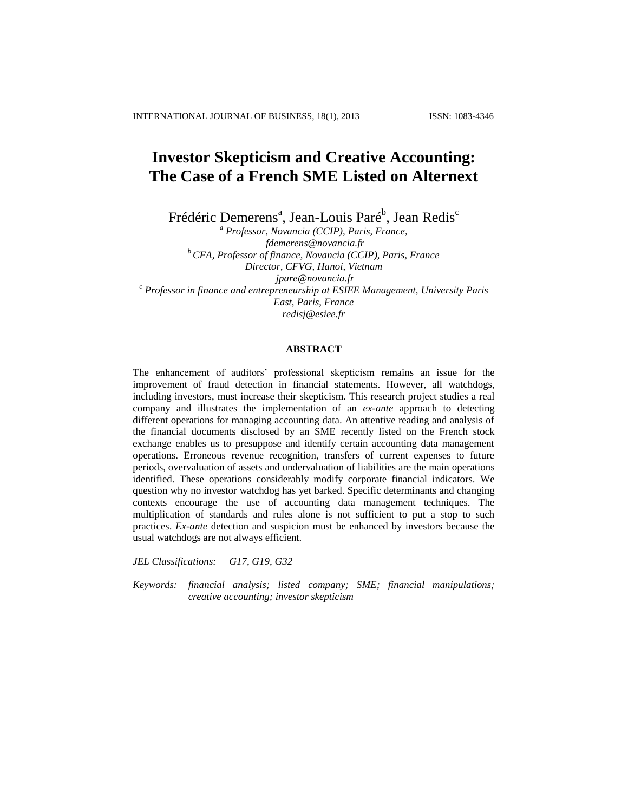# **Investor Skepticism and Creative Accounting: The Case of a French SME Listed on Alternext**

Frédéric Demerens<sup>a</sup>, Jean-Louis Paré<sup>b</sup>, Jean Redis<sup>c</sup>

*<sup>a</sup> Professor, Novancia (CCIP), Paris, France, [fdemerens@novancia.fr](mailto:fdemerens@novancia.fr) <sup>b</sup> CFA, Professor of finance, Novancia (CCIP), Paris, France Director, CFVG, Hanoi, Vietnam [jpare@novancia.fr](mailto:jpare@novancia.fr) <sup>c</sup> Professor in finance and entrepreneurship at ESIEE Management, University Paris East, Paris, France [redisj@esiee.fr](mailto:redisj@esiee.fr)*

# **ABSTRACT**

The enhancement of auditors' professional skepticism remains an issue for the improvement of fraud detection in financial statements. However, all watchdogs, including investors, must increase their skepticism. This research project studies a real company and illustrates the implementation of an *ex-ante* approach to detecting different operations for managing accounting data. An attentive reading and analysis of the financial documents disclosed by an SME recently listed on the French stock exchange enables us to presuppose and identify certain accounting data management operations. Erroneous revenue recognition, transfers of current expenses to future periods, overvaluation of assets and undervaluation of liabilities are the main operations identified. These operations considerably modify corporate financial indicators. We question why no investor watchdog has yet barked. Specific determinants and changing contexts encourage the use of accounting data management techniques. The multiplication of standards and rules alone is not sufficient to put a stop to such practices. *Ex-ante* detection and suspicion must be enhanced by investors because the usual watchdogs are not always efficient.

*JEL Classifications: G17, G19, G32*

*Keywords: financial analysis; listed company; SME; financial manipulations; creative accounting; investor skepticism*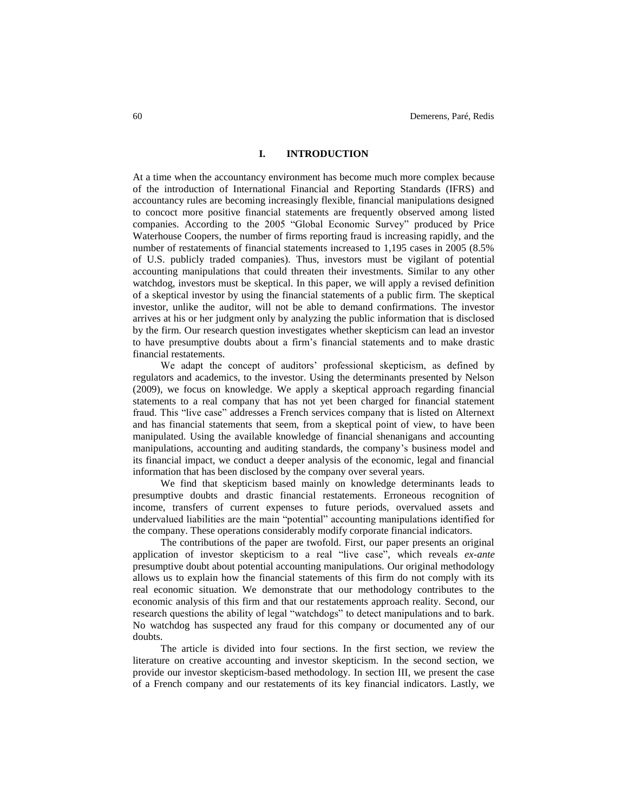## **I. INTRODUCTION**

At a time when the accountancy environment has become much more complex because of the introduction of International Financial and Reporting Standards (IFRS) and accountancy rules are becoming increasingly flexible, financial manipulations designed to concoct more positive financial statements are frequently observed among listed companies. According to the 2005 "Global Economic Survey" produced by Price Waterhouse Coopers, the number of firms reporting fraud is increasing rapidly, and the number of restatements of financial statements increased to 1,195 cases in 2005 (8.5% of U.S. publicly traded companies). Thus, investors must be vigilant of potential accounting manipulations that could threaten their investments. Similar to any other watchdog, investors must be skeptical. In this paper, we will apply a revised definition of a skeptical investor by using the financial statements of a public firm. The skeptical investor, unlike the auditor, will not be able to demand confirmations. The investor arrives at his or her judgment only by analyzing the public information that is disclosed by the firm. Our research question investigates whether skepticism can lead an investor to have presumptive doubts about a firm's financial statements and to make drastic financial restatements.

We adapt the concept of auditors' professional skepticism, as defined by regulators and academics, to the investor. Using the determinants presented by Nelson (2009), we focus on knowledge. We apply a skeptical approach regarding financial statements to a real company that has not yet been charged for financial statement fraud. This "live case" addresses a French services company that is listed on Alternext and has financial statements that seem, from a skeptical point of view, to have been manipulated. Using the available knowledge of financial shenanigans and accounting manipulations, accounting and auditing standards, the company's business model and its financial impact, we conduct a deeper analysis of the economic, legal and financial information that has been disclosed by the company over several years.

We find that skepticism based mainly on knowledge determinants leads to presumptive doubts and drastic financial restatements. Erroneous recognition of income, transfers of current expenses to future periods, overvalued assets and undervalued liabilities are the main "potential" accounting manipulations identified for the company. These operations considerably modify corporate financial indicators.

The contributions of the paper are twofold. First, our paper presents an original application of investor skepticism to a real "live case", which reveals *ex-ante* presumptive doubt about potential accounting manipulations. Our original methodology allows us to explain how the financial statements of this firm do not comply with its real economic situation. We demonstrate that our methodology contributes to the economic analysis of this firm and that our restatements approach reality. Second, our research questions the ability of legal "watchdogs" to detect manipulations and to bark. No watchdog has suspected any fraud for this company or documented any of our doubts.

The article is divided into four sections. In the first section, we review the literature on creative accounting and investor skepticism. In the second section, we provide our investor skepticism-based methodology. In section III, we present the case of a French company and our restatements of its key financial indicators. Lastly, we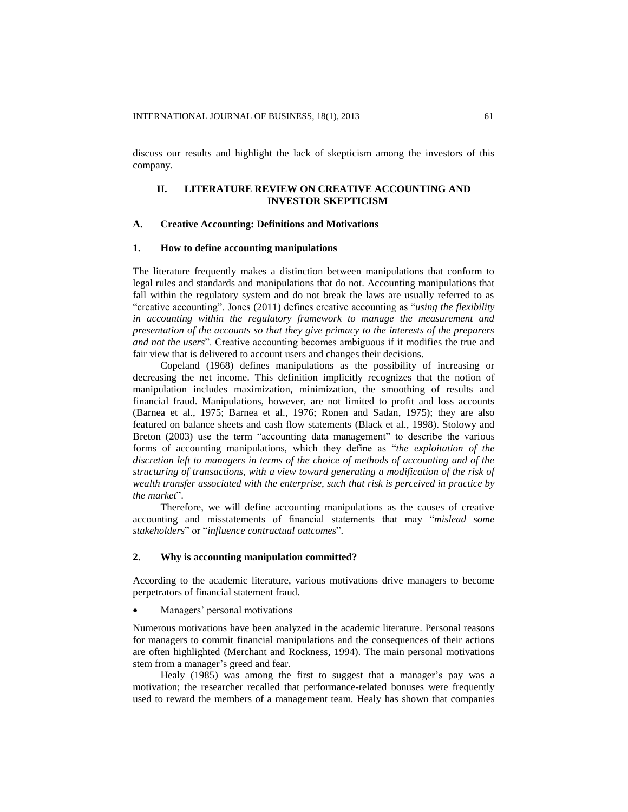discuss our results and highlight the lack of skepticism among the investors of this company.

# **II. LITERATURE REVIEW ON CREATIVE ACCOUNTING AND INVESTOR SKEPTICISM**

## **A. Creative Accounting: Definitions and Motivations**

# **1. How to define accounting manipulations**

The literature frequently makes a distinction between manipulations that conform to legal rules and standards and manipulations that do not. Accounting manipulations that fall within the regulatory system and do not break the laws are usually referred to as "creative accounting". Jones (2011) defines creative accounting as "*using the flexibility in accounting within the regulatory framework to manage the measurement and presentation of the accounts so that they give primacy to the interests of the preparers and not the users*". Creative accounting becomes ambiguous if it modifies the true and fair view that is delivered to account users and changes their decisions.

Copeland (1968) defines manipulations as the possibility of increasing or decreasing the net income. This definition implicitly recognizes that the notion of manipulation includes maximization, minimization, the smoothing of results and financial fraud. Manipulations, however, are not limited to profit and loss accounts (Barnea et al., 1975; Barnea et al., 1976; Ronen and Sadan, 1975); they are also featured on balance sheets and cash flow statements (Black et al., 1998). Stolowy and Breton (2003) use the term "accounting data management" to describe the various forms of accounting manipulations, which they define as "*the exploitation of the discretion left to managers in terms of the choice of methods of accounting and of the structuring of transactions, with a view toward generating a modification of the risk of wealth transfer associated with the enterprise, such that risk is perceived in practice by the market*".

Therefore, we will define accounting manipulations as the causes of creative accounting and misstatements of financial statements that may "*mislead some stakeholders*" or "*influence contractual outcomes*".

## **2. Why is accounting manipulation committed?**

According to the academic literature, various motivations drive managers to become perpetrators of financial statement fraud.

Managers' personal motivations

Numerous motivations have been analyzed in the academic literature. Personal reasons for managers to commit financial manipulations and the consequences of their actions are often highlighted (Merchant and Rockness, 1994). The main personal motivations stem from a manager's greed and fear.

Healy (1985) was among the first to suggest that a manager's pay was a motivation; the researcher recalled that performance-related bonuses were frequently used to reward the members of a management team. Healy has shown that companies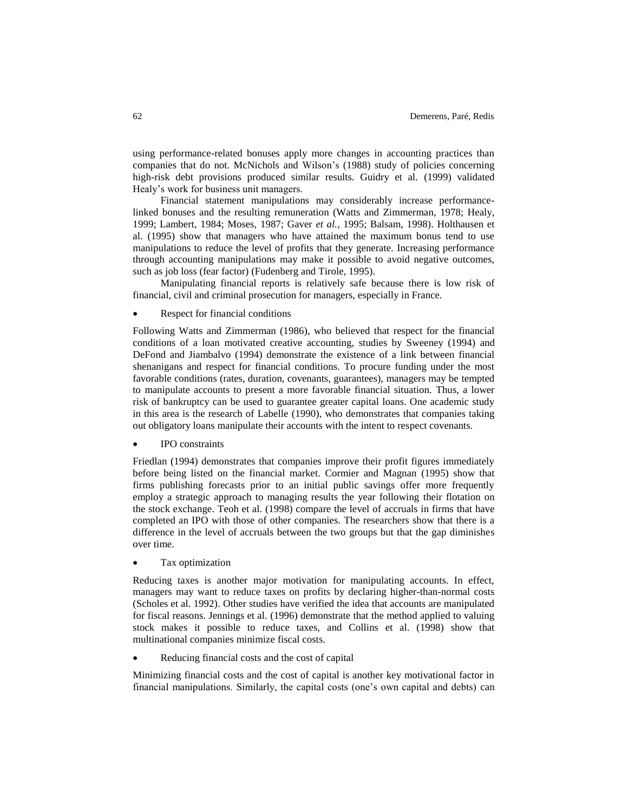using performance-related bonuses apply more changes in accounting practices than companies that do not. McNichols and Wilson's (1988) study of policies concerning high-risk debt provisions produced similar results. Guidry et al. (1999) validated Healy's work for business unit managers.

Financial statement manipulations may considerably increase performancelinked bonuses and the resulting remuneration (Watts and Zimmerman, 1978; Healy, 1999; Lambert, 1984; Moses, 1987; Gaver *et al.,* 1995; Balsam, 1998). Holthausen et al. (1995) show that managers who have attained the maximum bonus tend to use manipulations to reduce the level of profits that they generate. Increasing performance through accounting manipulations may make it possible to avoid negative outcomes, such as job loss (fear factor) (Fudenberg and Tirole, 1995).

Manipulating financial reports is relatively safe because there is low risk of financial, civil and criminal prosecution for managers, especially in France.

Respect for financial conditions

Following Watts and Zimmerman (1986), who believed that respect for the financial conditions of a loan motivated creative accounting, studies by Sweeney (1994) and DeFond and Jiambalvo (1994) demonstrate the existence of a link between financial shenanigans and respect for financial conditions. To procure funding under the most favorable conditions (rates, duration, covenants, guarantees), managers may be tempted to manipulate accounts to present a more favorable financial situation. Thus, a lower risk of bankruptcy can be used to guarantee greater capital loans. One academic study in this area is the research of Labelle (1990), who demonstrates that companies taking out obligatory loans manipulate their accounts with the intent to respect covenants.

IPO constraints

Friedlan (1994) demonstrates that companies improve their profit figures immediately before being listed on the financial market. Cormier and Magnan (1995) show that firms publishing forecasts prior to an initial public savings offer more frequently employ a strategic approach to managing results the year following their flotation on the stock exchange. Teoh et al. (1998) compare the level of accruals in firms that have completed an IPO with those of other companies. The researchers show that there is a difference in the level of accruals between the two groups but that the gap diminishes over time.

Tax optimization

Reducing taxes is another major motivation for manipulating accounts. In effect, managers may want to reduce taxes on profits by declaring higher-than-normal costs (Scholes et al. 1992). Other studies have verified the idea that accounts are manipulated for fiscal reasons. Jennings et al. (1996) demonstrate that the method applied to valuing stock makes it possible to reduce taxes, and Collins et al. (1998) show that multinational companies minimize fiscal costs.

Reducing financial costs and the cost of capital

Minimizing financial costs and the cost of capital is another key motivational factor in financial manipulations. Similarly, the capital costs (one's own capital and debts) can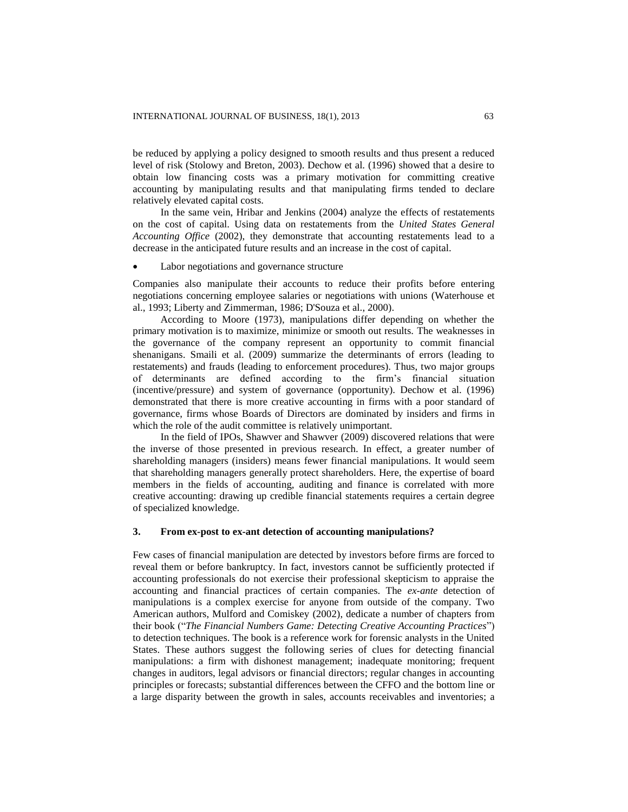be reduced by applying a policy designed to smooth results and thus present a reduced level of risk (Stolowy and Breton, 2003). Dechow et al. (1996) showed that a desire to obtain low financing costs was a primary motivation for committing creative accounting by manipulating results and that manipulating firms tended to declare relatively elevated capital costs.

In the same vein, Hribar and Jenkins (2004) analyze the effects of restatements on the cost of capital. Using data on restatements from the *United States General Accounting Office* (2002), they demonstrate that accounting restatements lead to a decrease in the anticipated future results and an increase in the cost of capital.

#### Labor negotiations and governance structure

Companies also manipulate their accounts to reduce their profits before entering negotiations concerning employee salaries or negotiations with unions (Waterhouse et al., 1993; Liberty and Zimmerman, 1986; D'Souza et al., 2000).

According to Moore (1973), manipulations differ depending on whether the primary motivation is to maximize, minimize or smooth out results. The weaknesses in the governance of the company represent an opportunity to commit financial shenanigans. Smaili et al. (2009) summarize the determinants of errors (leading to restatements) and frauds (leading to enforcement procedures). Thus, two major groups of determinants are defined according to the firm's financial situation (incentive/pressure) and system of governance (opportunity). Dechow et al. (1996) demonstrated that there is more creative accounting in firms with a poor standard of governance, firms whose Boards of Directors are dominated by insiders and firms in which the role of the audit committee is relatively unimportant.

In the field of IPOs, Shawver and Shawver (2009) discovered relations that were the inverse of those presented in previous research. In effect, a greater number of shareholding managers (insiders) means fewer financial manipulations. It would seem that shareholding managers generally protect shareholders. Here, the expertise of board members in the fields of accounting, auditing and finance is correlated with more creative accounting: drawing up credible financial statements requires a certain degree of specialized knowledge.

## **3. From ex-post to ex-ant detection of accounting manipulations?**

Few cases of financial manipulation are detected by investors before firms are forced to reveal them or before bankruptcy. In fact, investors cannot be sufficiently protected if accounting professionals do not exercise their professional skepticism to appraise the accounting and financial practices of certain companies. The *ex-ante* detection of manipulations is a complex exercise for anyone from outside of the company. Two American authors, Mulford and Comiskey (2002), dedicate a number of chapters from their book ("*The Financial Numbers Game: Detecting Creative Accounting Practices*") to detection techniques. The book is a reference work for forensic analysts in the United States. These authors suggest the following series of clues for detecting financial manipulations: a firm with dishonest management; inadequate monitoring; frequent changes in auditors, legal advisors or financial directors; regular changes in accounting principles or forecasts; substantial differences between the CFFO and the bottom line or a large disparity between the growth in sales, accounts receivables and inventories; a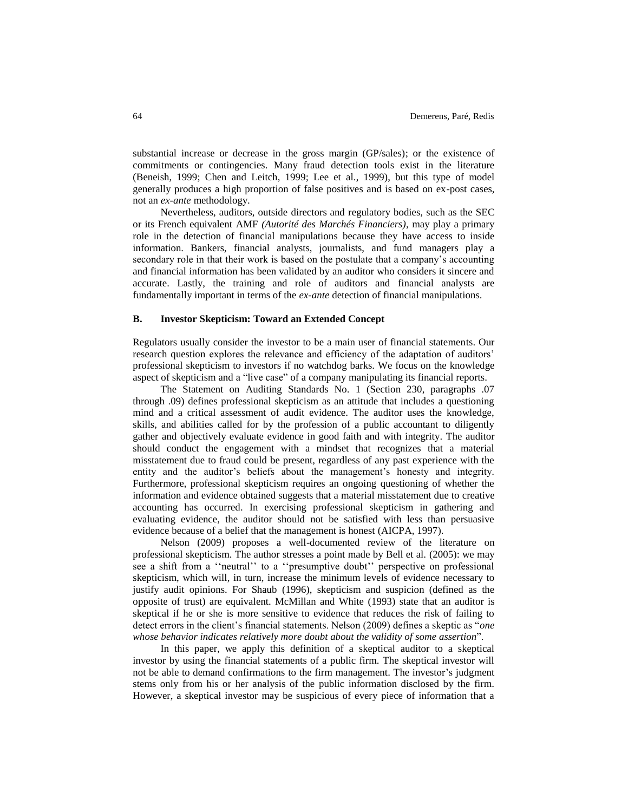substantial increase or decrease in the gross margin (GP/sales); or the existence of commitments or contingencies. Many fraud detection tools exist in the literature (Beneish, 1999; Chen and Leitch, 1999; Lee et al., 1999), but this type of model generally produces a high proportion of false positives and is based on ex-post cases, not an *ex-ante* methodology.

Nevertheless, auditors, outside directors and regulatory bodies, such as the SEC or its French equivalent AMF *(Autorité des Marchés Financiers)*, may play a primary role in the detection of financial manipulations because they have access to inside information. Bankers, financial analysts, journalists, and fund managers play a secondary role in that their work is based on the postulate that a company's accounting and financial information has been validated by an auditor who considers it sincere and accurate. Lastly, the training and role of auditors and financial analysts are fundamentally important in terms of the *ex-ante* detection of financial manipulations.

## **B. Investor Skepticism: Toward an Extended Concept**

Regulators usually consider the investor to be a main user of financial statements. Our research question explores the relevance and efficiency of the adaptation of auditors' professional skepticism to investors if no watchdog barks. We focus on the knowledge aspect of skepticism and a "live case" of a company manipulating its financial reports.

The Statement on Auditing Standards No. 1 (Section 230, paragraphs .07 through .09) defines professional skepticism as an attitude that includes a questioning mind and a critical assessment of audit evidence. The auditor uses the knowledge, skills, and abilities called for by the profession of a public accountant to diligently gather and objectively evaluate evidence in good faith and with integrity. The auditor should conduct the engagement with a mindset that recognizes that a material misstatement due to fraud could be present, regardless of any past experience with the entity and the auditor's beliefs about the management's honesty and integrity. Furthermore, professional skepticism requires an ongoing questioning of whether the information and evidence obtained suggests that a material misstatement due to creative accounting has occurred. In exercising professional skepticism in gathering and evaluating evidence, the auditor should not be satisfied with less than persuasive evidence because of a belief that the management is honest (AICPA, 1997).

Nelson (2009) proposes a well-documented review of the literature on professional skepticism. The author stresses a point made by Bell et al. (2005): we may see a shift from a ''neutral'' to a ''presumptive doubt'' perspective on professional skepticism, which will, in turn, increase the minimum levels of evidence necessary to justify audit opinions. For Shaub (1996), skepticism and suspicion (defined as the opposite of trust) are equivalent. McMillan and White (1993) state that an auditor is skeptical if he or she is more sensitive to evidence that reduces the risk of failing to detect errors in the client's financial statements. Nelson (2009) defines a skeptic as "*one whose behavior indicates relatively more doubt about the validity of some assertion*".

In this paper, we apply this definition of a skeptical auditor to a skeptical investor by using the financial statements of a public firm. The skeptical investor will not be able to demand confirmations to the firm management. The investor's judgment stems only from his or her analysis of the public information disclosed by the firm. However, a skeptical investor may be suspicious of every piece of information that a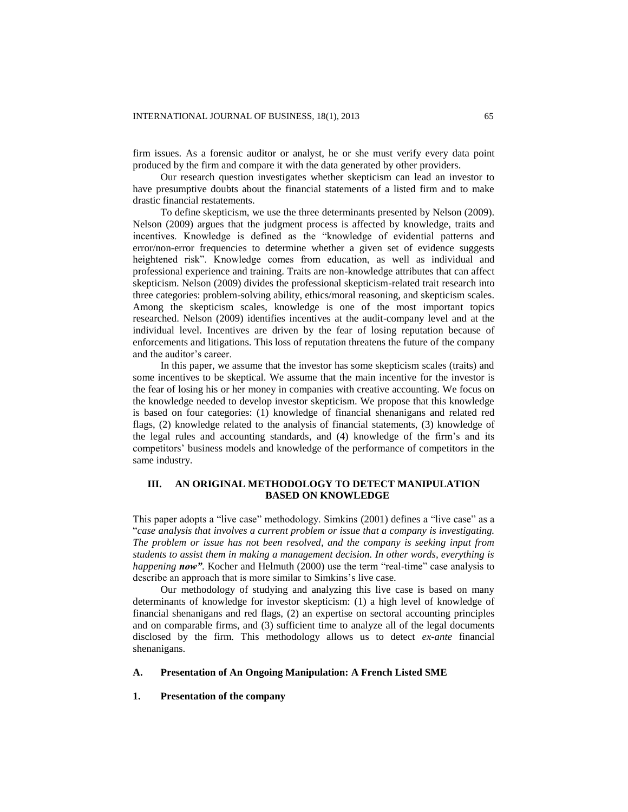firm issues. As a forensic auditor or analyst, he or she must verify every data point produced by the firm and compare it with the data generated by other providers.

Our research question investigates whether skepticism can lead an investor to have presumptive doubts about the financial statements of a listed firm and to make drastic financial restatements.

To define skepticism, we use the three determinants presented by Nelson (2009). Nelson (2009) argues that the judgment process is affected by knowledge, traits and incentives. Knowledge is defined as the "knowledge of evidential patterns and error/non-error frequencies to determine whether a given set of evidence suggests heightened risk". Knowledge comes from education, as well as individual and professional experience and training. Traits are non-knowledge attributes that can affect skepticism. Nelson (2009) divides the professional skepticism-related trait research into three categories: problem-solving ability, ethics/moral reasoning, and skepticism scales. Among the skepticism scales, knowledge is one of the most important topics researched. Nelson (2009) identifies incentives at the audit-company level and at the individual level. Incentives are driven by the fear of losing reputation because of enforcements and litigations. This loss of reputation threatens the future of the company and the auditor's career.

In this paper, we assume that the investor has some skepticism scales (traits) and some incentives to be skeptical. We assume that the main incentive for the investor is the fear of losing his or her money in companies with creative accounting. We focus on the knowledge needed to develop investor skepticism. We propose that this knowledge is based on four categories: (1) knowledge of financial shenanigans and related red flags, (2) knowledge related to the analysis of financial statements, (3) knowledge of the legal rules and accounting standards, and (4) knowledge of the firm's and its competitors' business models and knowledge of the performance of competitors in the same industry.

# **III. AN ORIGINAL METHODOLOGY TO DETECT MANIPULATION BASED ON KNOWLEDGE**

This paper adopts a "live case" methodology. Simkins (2001) defines a "live case" as a "*case analysis that involves a current problem or issue that a company is investigating. The problem or issue has not been resolved, and the company is seeking input from students to assist them in making a management decision. In other words, everything is happening now"*. Kocher and Helmuth (2000) use the term "real-time" case analysis to describe an approach that is more similar to Simkins's live case.

Our methodology of studying and analyzing this live case is based on many determinants of knowledge for investor skepticism: (1) a high level of knowledge of financial shenanigans and red flags, (2) an expertise on sectoral accounting principles and on comparable firms, and (3) sufficient time to analyze all of the legal documents disclosed by the firm. This methodology allows us to detect *ex-ante* financial shenanigans.

## **A. Presentation of An Ongoing Manipulation: A French Listed SME**

## **1. Presentation of the company**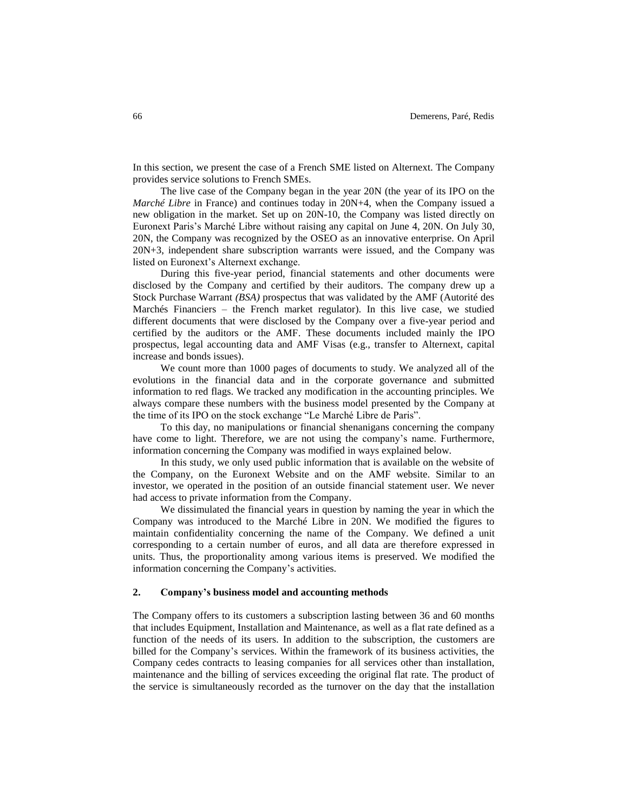In this section, we present the case of a French SME listed on Alternext. The Company provides service solutions to French SMEs.

The live case of the Company began in the year 20N (the year of its IPO on the *Marché Libre* in France) and continues today in 20N+4, when the Company issued a new obligation in the market. Set up on 20N-10, the Company was listed directly on Euronext Paris's Marché Libre without raising any capital on June 4, 20N. On July 30, 20N, the Company was recognized by the OSEO as an innovative enterprise. On April 20N+3, independent share subscription warrants were issued, and the Company was listed on Euronext's Alternext exchange.

During this five-year period, financial statements and other documents were disclosed by the Company and certified by their auditors. The company drew up a Stock Purchase Warrant *(BSA)* prospectus that was validated by the AMF (Autorité des Marchés Financiers – the French market regulator). In this live case, we studied different documents that were disclosed by the Company over a five-year period and certified by the auditors or the AMF. These documents included mainly the IPO prospectus, legal accounting data and AMF Visas (e.g., transfer to Alternext, capital increase and bonds issues).

We count more than 1000 pages of documents to study. We analyzed all of the evolutions in the financial data and in the corporate governance and submitted information to red flags. We tracked any modification in the accounting principles. We always compare these numbers with the business model presented by the Company at the time of its IPO on the stock exchange "Le Marché Libre de Paris".

To this day, no manipulations or financial shenanigans concerning the company have come to light. Therefore, we are not using the company's name. Furthermore, information concerning the Company was modified in ways explained below.

In this study, we only used public information that is available on the website of the Company, on the Euronext Website and on the AMF website. Similar to an investor, we operated in the position of an outside financial statement user. We never had access to private information from the Company.

We dissimulated the financial years in question by naming the year in which the Company was introduced to the Marché Libre in 20N. We modified the figures to maintain confidentiality concerning the name of the Company. We defined a unit corresponding to a certain number of euros, and all data are therefore expressed in units. Thus, the proportionality among various items is preserved. We modified the information concerning the Company's activities.

#### **2. Company's business model and accounting methods**

The Company offers to its customers a subscription lasting between 36 and 60 months that includes Equipment, Installation and Maintenance, as well as a flat rate defined as a function of the needs of its users. In addition to the subscription, the customers are billed for the Company's services. Within the framework of its business activities, the Company cedes contracts to leasing companies for all services other than installation, maintenance and the billing of services exceeding the original flat rate. The product of the service is simultaneously recorded as the turnover on the day that the installation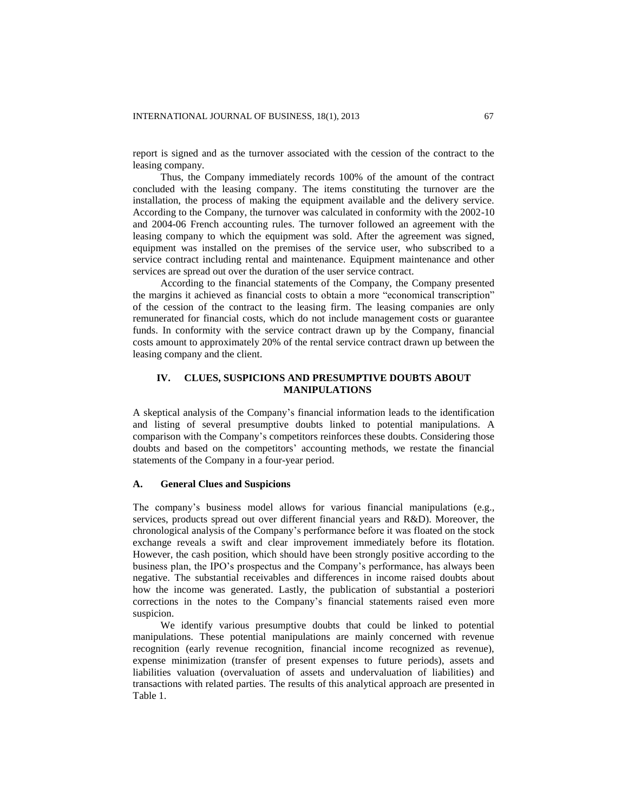report is signed and as the turnover associated with the cession of the contract to the leasing company.

Thus, the Company immediately records 100% of the amount of the contract concluded with the leasing company. The items constituting the turnover are the installation, the process of making the equipment available and the delivery service. According to the Company, the turnover was calculated in conformity with the 2002-10 and 2004-06 French accounting rules. The turnover followed an agreement with the leasing company to which the equipment was sold. After the agreement was signed, equipment was installed on the premises of the service user, who subscribed to a service contract including rental and maintenance. Equipment maintenance and other services are spread out over the duration of the user service contract.

According to the financial statements of the Company, the Company presented the margins it achieved as financial costs to obtain a more "economical transcription" of the cession of the contract to the leasing firm. The leasing companies are only remunerated for financial costs, which do not include management costs or guarantee funds. In conformity with the service contract drawn up by the Company, financial costs amount to approximately 20% of the rental service contract drawn up between the leasing company and the client.

# **IV. CLUES, SUSPICIONS AND PRESUMPTIVE DOUBTS ABOUT MANIPULATIONS**

A skeptical analysis of the Company's financial information leads to the identification and listing of several presumptive doubts linked to potential manipulations. A comparison with the Company's competitors reinforces these doubts. Considering those doubts and based on the competitors' accounting methods, we restate the financial statements of the Company in a four-year period.

#### **A. General Clues and Suspicions**

The company's business model allows for various financial manipulations (e.g., services, products spread out over different financial years and R&D). Moreover, the chronological analysis of the Company's performance before it was floated on the stock exchange reveals a swift and clear improvement immediately before its flotation. However, the cash position, which should have been strongly positive according to the business plan, the IPO's prospectus and the Company's performance, has always been negative. The substantial receivables and differences in income raised doubts about how the income was generated. Lastly, the publication of substantial a posteriori corrections in the notes to the Company's financial statements raised even more suspicion.

We identify various presumptive doubts that could be linked to potential manipulations. These potential manipulations are mainly concerned with revenue recognition (early revenue recognition, financial income recognized as revenue), expense minimization (transfer of present expenses to future periods), assets and liabilities valuation (overvaluation of assets and undervaluation of liabilities) and transactions with related parties. The results of this analytical approach are presented in Table 1.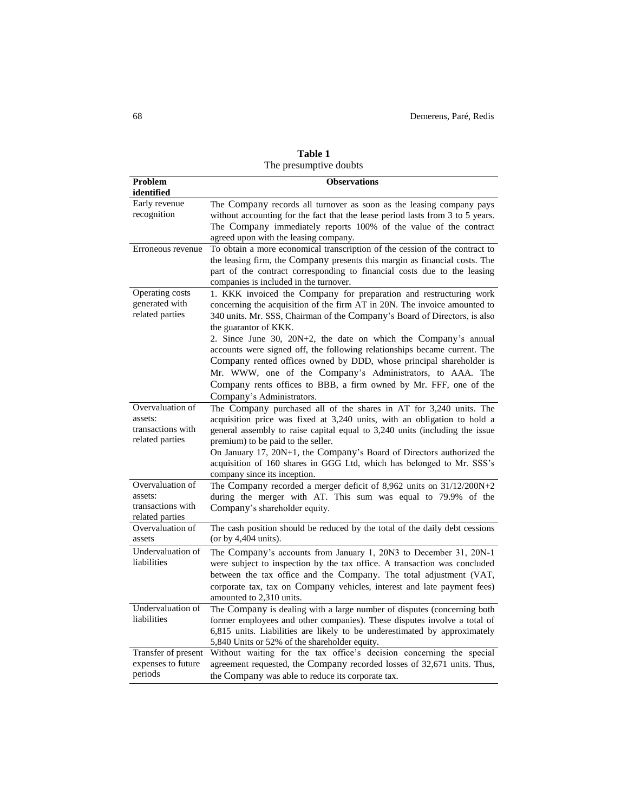|                                                                     | ⊷⊷                                                                                                                                                                                                                                                                                                                                                                                                                                                                                                                                                                                                                                          |
|---------------------------------------------------------------------|---------------------------------------------------------------------------------------------------------------------------------------------------------------------------------------------------------------------------------------------------------------------------------------------------------------------------------------------------------------------------------------------------------------------------------------------------------------------------------------------------------------------------------------------------------------------------------------------------------------------------------------------|
| Problem<br>identified                                               | <b>Observations</b>                                                                                                                                                                                                                                                                                                                                                                                                                                                                                                                                                                                                                         |
| Early revenue<br>recognition                                        | The Company records all turnover as soon as the leasing company pays<br>without accounting for the fact that the lease period lasts from 3 to 5 years.<br>The Company immediately reports 100% of the value of the contract<br>agreed upon with the leasing company.                                                                                                                                                                                                                                                                                                                                                                        |
| Erroneous revenue                                                   | To obtain a more economical transcription of the cession of the contract to<br>the leasing firm, the Company presents this margin as financial costs. The<br>part of the contract corresponding to financial costs due to the leasing<br>companies is included in the turnover.                                                                                                                                                                                                                                                                                                                                                             |
| Operating costs<br>generated with<br>related parties                | 1. KKK invoiced the Company for preparation and restructuring work<br>concerning the acquisition of the firm AT in 20N. The invoice amounted to<br>340 units. Mr. SSS, Chairman of the Company's Board of Directors, is also<br>the guarantor of KKK.<br>2. Since June 30, 20N+2, the date on which the Company's annual<br>accounts were signed off, the following relationships became current. The<br>Company rented offices owned by DDD, whose principal shareholder is<br>Mr. WWW, one of the Company's Administrators, to AAA. The<br>Company rents offices to BBB, a firm owned by Mr. FFF, one of the<br>Company's Administrators. |
| Overvaluation of<br>assets:<br>transactions with<br>related parties | The Company purchased all of the shares in AT for 3,240 units. The<br>acquisition price was fixed at 3,240 units, with an obligation to hold a<br>general assembly to raise capital equal to 3,240 units (including the issue<br>premium) to be paid to the seller.<br>On January 17, 20N+1, the Company's Board of Directors authorized the<br>acquisition of 160 shares in GGG Ltd, which has belonged to Mr. SSS's<br>company since its inception.                                                                                                                                                                                       |
| Overvaluation of<br>assets:<br>transactions with<br>related parties | The Company recorded a merger deficit of 8,962 units on 31/12/200N+2<br>during the merger with AT. This sum was equal to 79.9% of the<br>Company's shareholder equity.                                                                                                                                                                                                                                                                                                                                                                                                                                                                      |
| Overvaluation of<br>assets                                          | The cash position should be reduced by the total of the daily debt cessions<br>(or by $4,404$ units).                                                                                                                                                                                                                                                                                                                                                                                                                                                                                                                                       |
| Undervaluation of<br>liabilities                                    | The Company's accounts from January 1, 20N3 to December 31, 20N-1<br>were subject to inspection by the tax office. A transaction was concluded<br>between the tax office and the Company. The total adjustment (VAT,<br>corporate tax, tax on Company vehicles, interest and late payment fees)<br>amounted to 2,310 units.                                                                                                                                                                                                                                                                                                                 |
| Undervaluation of<br>liabilities                                    | The Company is dealing with a large number of disputes (concerning both<br>former employees and other companies). These disputes involve a total of<br>6,815 units. Liabilities are likely to be underestimated by approximately<br>5,840 Units or 52% of the shareholder equity.                                                                                                                                                                                                                                                                                                                                                           |
| Transfer of present<br>expenses to future<br>periods                | Without waiting for the tax office's decision concerning the special<br>agreement requested, the Company recorded losses of 32,671 units. Thus,<br>the Company was able to reduce its corporate tax.                                                                                                                                                                                                                                                                                                                                                                                                                                        |

| Table 1                |  |
|------------------------|--|
| The presumptive doubts |  |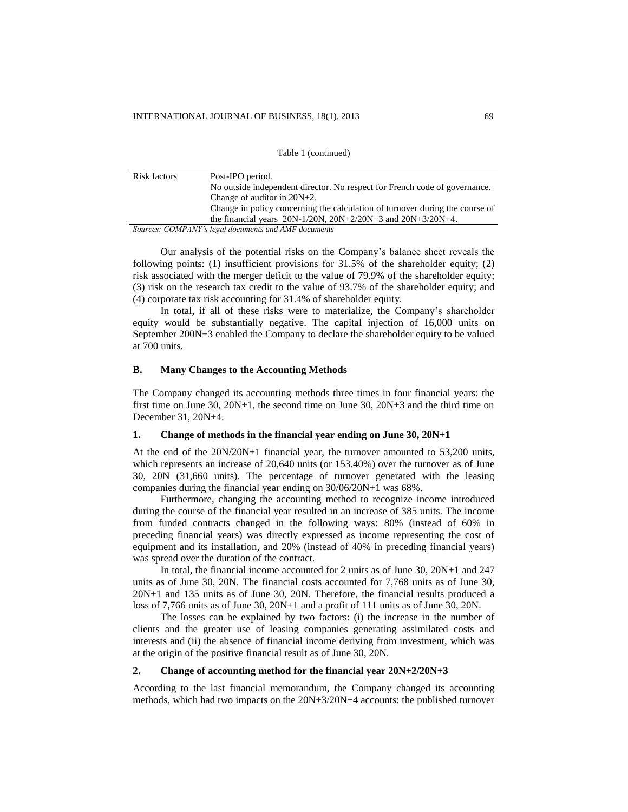Table 1 (continued)

| Risk factors | Post-IPO period.                                                             |
|--------------|------------------------------------------------------------------------------|
|              | No outside independent director. No respect for French code of governance.   |
|              | Change of auditor in $20N+2$ .                                               |
|              | Change in policy concerning the calculation of turnover during the course of |
|              | the financial years $20N-1/20N$ , $20N+2/20N+3$ and $20N+3/20N+4$ .          |
|              | Sources: COMPANY's legal documents and AMF documents                         |

Our analysis of the potential risks on the Company's balance sheet reveals the following points: (1) insufficient provisions for 31.5% of the shareholder equity; (2) risk associated with the merger deficit to the value of 79.9% of the shareholder equity; (3) risk on the research tax credit to the value of 93.7% of the shareholder equity; and (4) corporate tax risk accounting for 31.4% of shareholder equity.

In total, if all of these risks were to materialize, the Company's shareholder equity would be substantially negative. The capital injection of 16,000 units on September 200N+3 enabled the Company to declare the shareholder equity to be valued at 700 units.

### **B. Many Changes to the Accounting Methods**

The Company changed its accounting methods three times in four financial years: the first time on June 30, 20N+1, the second time on June 30, 20N+3 and the third time on December 31, 20N+4.

#### **1. Change of methods in the financial year ending on June 30, 20N+1**

At the end of the 20N/20N+1 financial year, the turnover amounted to 53,200 units, which represents an increase of 20,640 units (or 153.40%) over the turnover as of June 30, 20N (31,660 units). The percentage of turnover generated with the leasing companies during the financial year ending on 30/06/20N+1 was 68%.

Furthermore, changing the accounting method to recognize income introduced during the course of the financial year resulted in an increase of 385 units. The income from funded contracts changed in the following ways: 80% (instead of 60% in preceding financial years) was directly expressed as income representing the cost of equipment and its installation, and 20% (instead of 40% in preceding financial years) was spread over the duration of the contract.

In total, the financial income accounted for 2 units as of June 30, 20N+1 and 247 units as of June 30, 20N. The financial costs accounted for 7,768 units as of June 30, 20N+1 and 135 units as of June 30, 20N. Therefore, the financial results produced a loss of 7,766 units as of June 30, 20N+1 and a profit of 111 units as of June 30, 20N.

The losses can be explained by two factors: (i) the increase in the number of clients and the greater use of leasing companies generating assimilated costs and interests and (ii) the absence of financial income deriving from investment, which was at the origin of the positive financial result as of June 30, 20N.

#### **2. Change of accounting method for the financial year 20N+2/20N+3**

According to the last financial memorandum, the Company changed its accounting methods, which had two impacts on the 20N+3/20N+4 accounts: the published turnover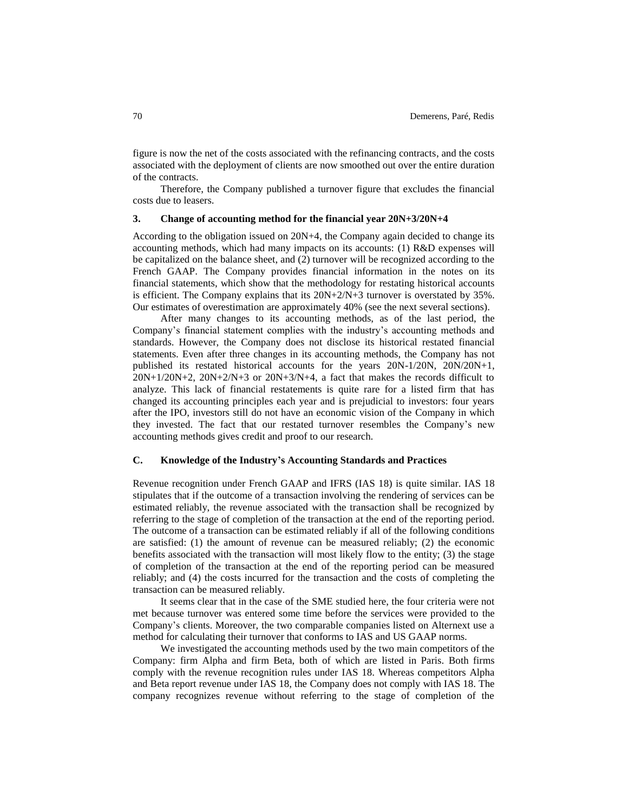figure is now the net of the costs associated with the refinancing contracts, and the costs associated with the deployment of clients are now smoothed out over the entire duration of the contracts.

Therefore, the Company published a turnover figure that excludes the financial costs due to leasers.

## **3. Change of accounting method for the financial year 20N+3/20N+4**

According to the obligation issued on 20N+4, the Company again decided to change its accounting methods, which had many impacts on its accounts: (1) R&D expenses will be capitalized on the balance sheet, and (2) turnover will be recognized according to the French GAAP. The Company provides financial information in the notes on its financial statements, which show that the methodology for restating historical accounts is efficient. The Company explains that its  $20N+2/N+3$  turnover is overstated by 35%. Our estimates of overestimation are approximately 40% (see the next several sections).

After many changes to its accounting methods, as of the last period, the Company's financial statement complies with the industry's accounting methods and standards. However, the Company does not disclose its historical restated financial statements. Even after three changes in its accounting methods, the Company has not published its restated historical accounts for the years 20N-1/20N, 20N/20N+1, 20N+1/20N+2, 20N+2/N+3 or 20N+3/N+4, a fact that makes the records difficult to analyze. This lack of financial restatements is quite rare for a listed firm that has changed its accounting principles each year and is prejudicial to investors: four years after the IPO, investors still do not have an economic vision of the Company in which they invested. The fact that our restated turnover resembles the Company's new accounting methods gives credit and proof to our research.

#### **C. Knowledge of the Industry's Accounting Standards and Practices**

Revenue recognition under French GAAP and IFRS (IAS 18) is quite similar. IAS 18 stipulates that if the outcome of a transaction involving the rendering of services can be estimated reliably, the revenue associated with the transaction shall be recognized by referring to the stage of completion of the transaction at the end of the reporting period. The outcome of a transaction can be estimated reliably if all of the following conditions are satisfied: (1) the amount of revenue can be measured reliably; (2) the economic benefits associated with the transaction will most likely flow to the entity; (3) the stage of completion of the transaction at the end of the reporting period can be measured reliably; and (4) the costs incurred for the transaction and the costs of completing the transaction can be measured reliably.

It seems clear that in the case of the SME studied here, the four criteria were not met because turnover was entered some time before the services were provided to the Company's clients. Moreover, the two comparable companies listed on Alternext use a method for calculating their turnover that conforms to IAS and US GAAP norms.

We investigated the accounting methods used by the two main competitors of the Company: firm Alpha and firm Beta, both of which are listed in Paris. Both firms comply with the revenue recognition rules under IAS 18. Whereas competitors Alpha and Beta report revenue under IAS 18, the Company does not comply with IAS 18. The company recognizes revenue without referring to the stage of completion of the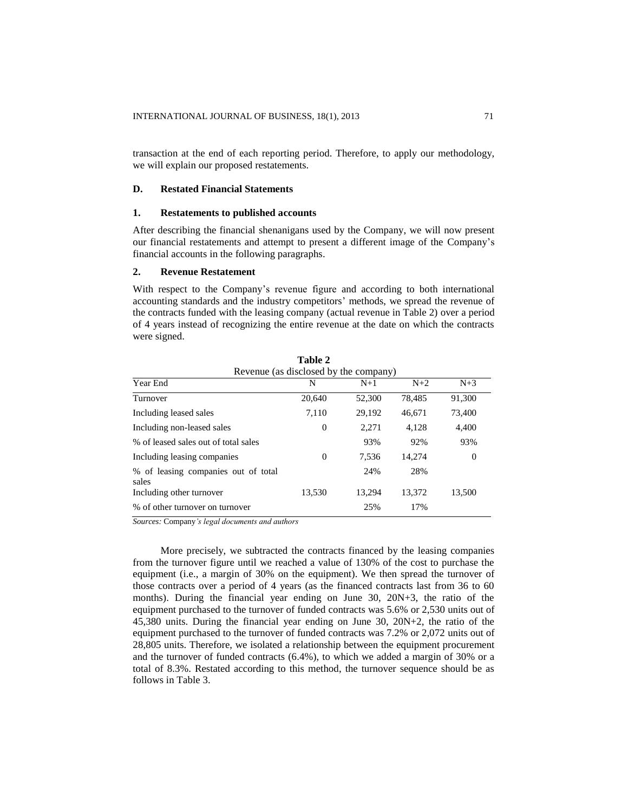transaction at the end of each reporting period. Therefore, to apply our methodology, we will explain our proposed restatements.

#### **D. Restated Financial Statements**

### **1. Restatements to published accounts**

After describing the financial shenanigans used by the Company, we will now present our financial restatements and attempt to present a different image of the Company's financial accounts in the following paragraphs.

## **2. Revenue Restatement**

With respect to the Company's revenue figure and according to both international accounting standards and the industry competitors' methods, we spread the revenue of the contracts funded with the leasing company (actual revenue in Table 2) over a period of 4 years instead of recognizing the entire revenue at the date on which the contracts were signed.

| Table 2<br>Revenue (as disclosed by the company) |                |        |        |        |  |  |
|--------------------------------------------------|----------------|--------|--------|--------|--|--|
| Year End                                         | N              | $N+1$  | $N+2$  | $N+3$  |  |  |
| Turnover                                         | 20,640         | 52,300 | 78,485 | 91,300 |  |  |
| Including leased sales                           | 7,110          | 29,192 | 46,671 | 73,400 |  |  |
| Including non-leased sales                       | $\overline{0}$ | 2.271  | 4,128  | 4,400  |  |  |
| % of leased sales out of total sales             |                | 93%    | 92%    | 93%    |  |  |
| Including leasing companies                      | 0              | 7.536  | 14.274 | 0      |  |  |
| % of leasing companies out of total<br>sales     |                | 24%    | 28%    |        |  |  |
| Including other turnover                         | 13,530         | 13.294 | 13,372 | 13,500 |  |  |
| % of other turnover on turnover                  |                | 25%    | 17%    |        |  |  |

*Sources:* Company*'s legal documents and authors* 

More precisely, we subtracted the contracts financed by the leasing companies from the turnover figure until we reached a value of 130% of the cost to purchase the equipment (i.e., a margin of 30% on the equipment). We then spread the turnover of those contracts over a period of 4 years (as the financed contracts last from 36 to 60 months). During the financial year ending on June 30, 20N+3, the ratio of the equipment purchased to the turnover of funded contracts was 5.6% or 2,530 units out of 45,380 units. During the financial year ending on June 30, 20N+2, the ratio of the equipment purchased to the turnover of funded contracts was 7.2% or 2,072 units out of 28,805 units. Therefore, we isolated a relationship between the equipment procurement and the turnover of funded contracts (6.4%), to which we added a margin of 30% or a total of 8.3%. Restated according to this method, the turnover sequence should be as follows in Table 3.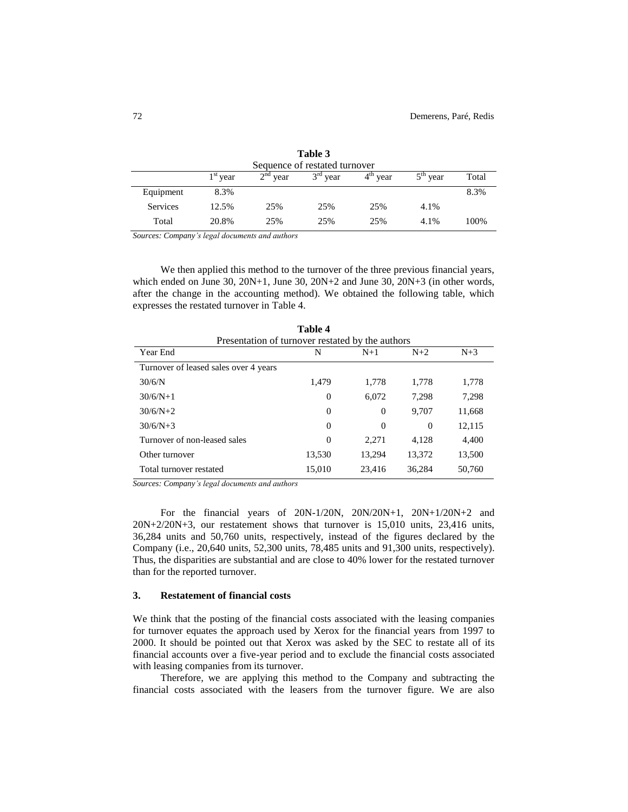| 1 avie 9                      |                         |                         |            |                         |       |  |
|-------------------------------|-------------------------|-------------------------|------------|-------------------------|-------|--|
| Sequence of restated turnover |                         |                         |            |                         |       |  |
| $1st$ year                    | 2 <sup>nd</sup><br>vear | $3^{\text{rd}}$<br>vear | $4th$ year | 5 <sup>th</sup><br>vear | Total |  |
| 8.3%                          |                         |                         |            |                         | 8.3%  |  |
| 12.5%                         | 25%                     | 25%                     | 25%        | 4.1%                    |       |  |
| 20.8%                         | 25%                     | 25%                     | 25%        | 4.1%                    | 100%  |  |
|                               |                         |                         |            |                         |       |  |

**Table 3**

*Sources: Company's legal documents and authors*

We then applied this method to the turnover of the three previous financial years, which ended on June  $30$ ,  $20N+1$ , June  $30$ ,  $20N+2$  and June  $30$ ,  $20N+3$  (in other words, after the change in the accounting method). We obtained the following table, which expresses the restated turnover in Table 4.

| тами т                                           |                |                |          |        |  |  |
|--------------------------------------------------|----------------|----------------|----------|--------|--|--|
| Presentation of turnover restated by the authors |                |                |          |        |  |  |
| Year End                                         | N              | $N+1$          | $N+2$    | $N+3$  |  |  |
| Turnover of leased sales over 4 years            |                |                |          |        |  |  |
| 30/6/N                                           | 1,479          | 1,778          | 1,778    | 1,778  |  |  |
| $30/6/N+1$                                       | $\overline{0}$ | 6,072          | 7.298    | 7.298  |  |  |
| $30/6/N+2$                                       | $\overline{0}$ | $\theta$       | 9,707    | 11,668 |  |  |
| $30/6/N+3$                                       | $\Omega$       | $\overline{0}$ | $\Omega$ | 12,115 |  |  |
| Turnover of non-leased sales                     | $\Omega$       | 2,271          | 4,128    | 4,400  |  |  |
| Other turnover                                   | 13,530         | 13,294         | 13,372   | 13,500 |  |  |
| Total turnover restated                          | 15,010         | 23,416         | 36,284   | 50,760 |  |  |

**Table 4**

*Sources: Company's legal documents and authors* 

For the financial years of 20N-1/20N, 20N/20N+1, 20N+1/20N+2 and 20N+2/20N+3, our restatement shows that turnover is 15,010 units, 23,416 units, 36,284 units and 50,760 units, respectively, instead of the figures declared by the Company (i.e., 20,640 units, 52,300 units, 78,485 units and 91,300 units, respectively). Thus, the disparities are substantial and are close to 40% lower for the restated turnover than for the reported turnover.

## **3. Restatement of financial costs**

We think that the posting of the financial costs associated with the leasing companies for turnover equates the approach used by Xerox for the financial years from 1997 to 2000. It should be pointed out that Xerox was asked by the SEC to restate all of its financial accounts over a five-year period and to exclude the financial costs associated with leasing companies from its turnover.

Therefore, we are applying this method to the Company and subtracting the financial costs associated with the leasers from the turnover figure. We are also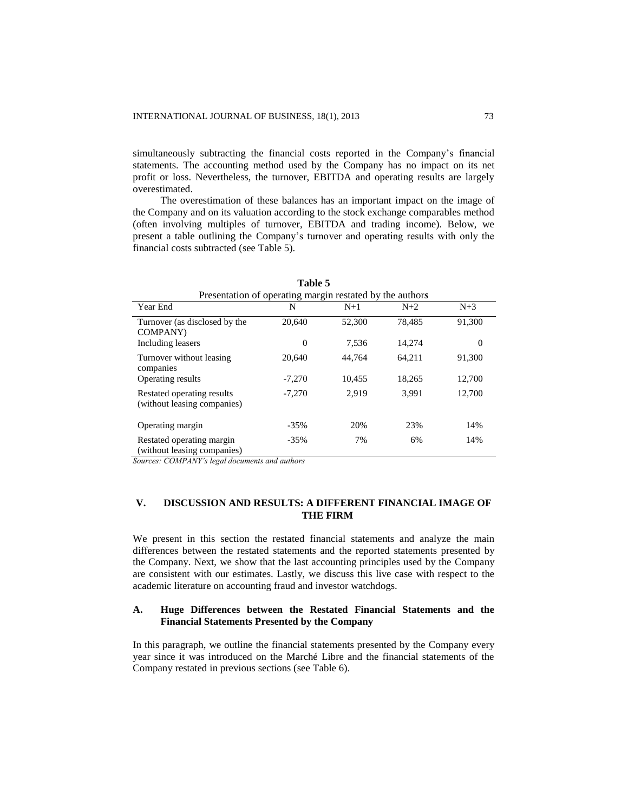simultaneously subtracting the financial costs reported in the Company's financial statements. The accounting method used by the Company has no impact on its net profit or loss. Nevertheless, the turnover, EBITDA and operating results are largely overestimated.

The overestimation of these balances has an important impact on the image of the Company and on its valuation according to the stock exchange comparables method (often involving multiples of turnover, EBITDA and trading income). Below, we present a table outlining the Company's turnover and operating results with only the financial costs subtracted (see Table 5).

| Presentation of operating margin restated by the authors  |          |        |        |        |  |  |
|-----------------------------------------------------------|----------|--------|--------|--------|--|--|
| Year End                                                  | N        | $N+1$  | $N+2$  | $N+3$  |  |  |
| Turnover (as disclosed by the<br><b>COMPANY</b> )         | 20,640   | 52,300 | 78,485 | 91,300 |  |  |
| Including leasers                                         | $\theta$ | 7,536  | 14,274 | 0      |  |  |
| Turnover without leasing<br>companies                     | 20,640   | 44.764 | 64.211 | 91,300 |  |  |
| Operating results                                         | $-7.270$ | 10,455 | 18.265 | 12,700 |  |  |
| Restated operating results<br>(without leasing companies) | $-7.270$ | 2.919  | 3.991  | 12,700 |  |  |
| Operating margin                                          | $-35%$   | 20%    | 23%    | 14%    |  |  |
| Restated operating margin<br>(without leasing companies)  | $-35%$   | 7%     | 6%     | 14%    |  |  |

**Table 5**

*Sources: COMPANY's legal documents and authors* 

# **V. DISCUSSION AND RESULTS: A DIFFERENT FINANCIAL IMAGE OF THE FIRM**

We present in this section the restated financial statements and analyze the main differences between the restated statements and the reported statements presented by the Company. Next, we show that the last accounting principles used by the Company are consistent with our estimates. Lastly, we discuss this live case with respect to the academic literature on accounting fraud and investor watchdogs.

# **A. Huge Differences between the Restated Financial Statements and the Financial Statements Presented by the Company**

In this paragraph, we outline the financial statements presented by the Company every year since it was introduced on the Marché Libre and the financial statements of the Company restated in previous sections (see Table 6).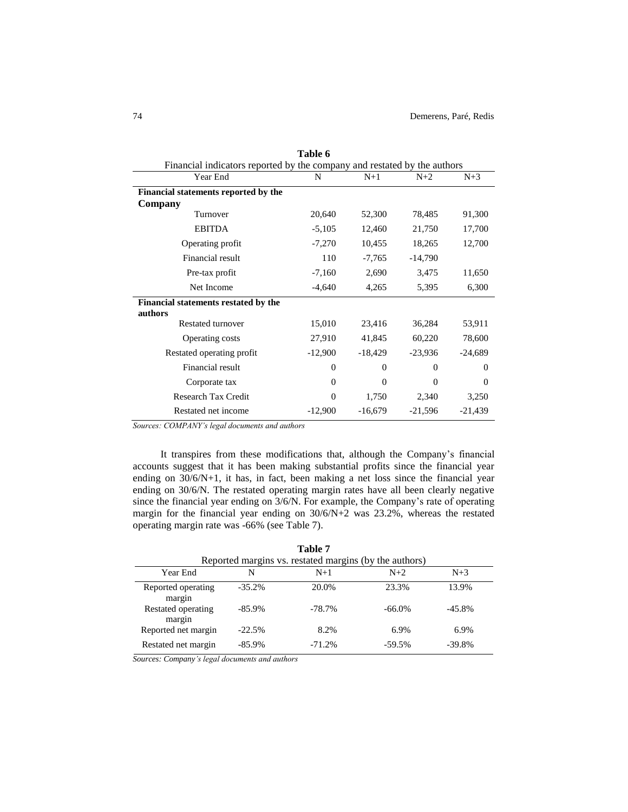| Table 6                                                                  |           |           |           |           |  |  |
|--------------------------------------------------------------------------|-----------|-----------|-----------|-----------|--|--|
| Financial indicators reported by the company and restated by the authors |           |           |           |           |  |  |
| Year End                                                                 | N         | $N+1$     | $N+2$     | $N+3$     |  |  |
| Financial statements reported by the                                     |           |           |           |           |  |  |
| Company                                                                  |           |           |           |           |  |  |
| Turnover                                                                 | 20,640    | 52,300    | 78,485    | 91,300    |  |  |
| <b>EBITDA</b>                                                            | $-5,105$  | 12,460    | 21,750    | 17,700    |  |  |
| Operating profit                                                         | $-7,270$  | 10,455    | 18,265    | 12,700    |  |  |
| Financial result                                                         | 110       | $-7,765$  | $-14,790$ |           |  |  |
| Pre-tax profit                                                           | $-7,160$  | 2,690     | 3,475     | 11,650    |  |  |
| Net Income                                                               | $-4,640$  | 4,265     | 5,395     | 6,300     |  |  |
| Financial statements restated by the<br>authors                          |           |           |           |           |  |  |
| <b>Restated turnover</b>                                                 | 15,010    | 23,416    | 36,284    | 53,911    |  |  |
| Operating costs                                                          | 27,910    | 41,845    | 60,220    | 78,600    |  |  |
| Restated operating profit                                                | $-12,900$ | $-18,429$ | $-23,936$ | $-24,689$ |  |  |
| Financial result                                                         | $\Omega$  | $\Omega$  | $\Omega$  | $\theta$  |  |  |
| Corporate tax                                                            | $\Omega$  | $\Omega$  | $\Omega$  | $\theta$  |  |  |
| <b>Research Tax Credit</b>                                               | $\Omega$  | 1,750     | 2,340     | 3,250     |  |  |
| Restated net income                                                      | $-12,900$ | $-16,679$ | $-21,596$ | $-21,439$ |  |  |

 $T \cup Z$ 

*Sources: COMPANY's legal documents and authors* 

It transpires from these modifications that, although the Company's financial accounts suggest that it has been making substantial profits since the financial year ending on 30/6/N+1, it has, in fact, been making a net loss since the financial year ending on 30/6/N. The restated operating margin rates have all been clearly negative since the financial year ending on 3/6/N. For example, the Company's rate of operating margin for the financial year ending on 30/6/N+2 was 23.2%, whereas the restated operating margin rate was -66% (see Table 7).

|                              |           | Table 7                                                |           |          |
|------------------------------|-----------|--------------------------------------------------------|-----------|----------|
|                              |           | Reported margins vs. restated margins (by the authors) |           |          |
| Year End                     | N         | $N+1$                                                  | $N+2$     | $N+3$    |
| Reported operating<br>margin | $-35.2%$  | 20.0%                                                  | 23.3%     | 13.9%    |
| Restated operating<br>margin | $-85.9\%$ | $-78.7\%$                                              | $-66.0\%$ | $-45.8%$ |
| Reported net margin          | $-22.5%$  | 8.2%                                                   | 6.9%      | 6.9%     |
| Restated net margin          | $-85.9\%$ | $-71.2%$                                               | $-59.5%$  | $-39.8%$ |

*Sources: Company's legal documents and authors*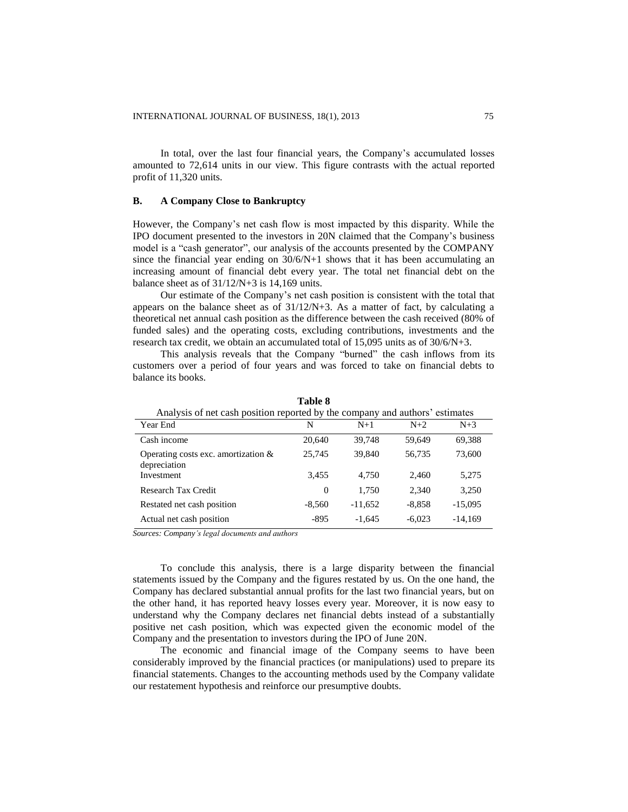In total, over the last four financial years, the Company's accumulated losses amounted to 72,614 units in our view. This figure contrasts with the actual reported profit of 11,320 units.

### **B. A Company Close to Bankruptcy**

However, the Company's net cash flow is most impacted by this disparity. While the IPO document presented to the investors in 20N claimed that the Company's business model is a "cash generator", our analysis of the accounts presented by the COMPANY since the financial year ending on  $30/6/N+1$  shows that it has been accumulating an increasing amount of financial debt every year. The total net financial debt on the balance sheet as of 31/12/N+3 is 14,169 units.

Our estimate of the Company's net cash position is consistent with the total that appears on the balance sheet as of 31/12/N+3. As a matter of fact, by calculating a theoretical net annual cash position as the difference between the cash received (80% of funded sales) and the operating costs, excluding contributions, investments and the research tax credit, we obtain an accumulated total of 15,095 units as of 30/6/N+3.

This analysis reveals that the Company "burned" the cash inflows from its customers over a period of four years and was forced to take on financial debts to balance its books.

| Analysis of net cash position reported by the company and authors' estimates |                |           |          |           |  |  |
|------------------------------------------------------------------------------|----------------|-----------|----------|-----------|--|--|
| Year End                                                                     | N              | $N+1$     | $N+2$    | $N+3$     |  |  |
| Cash income                                                                  | 20,640         | 39.748    | 59.649   | 69,388    |  |  |
| Operating costs exc. amortization $\&$<br>depreciation                       | 25,745         | 39,840    | 56,735   | 73,600    |  |  |
| Investment                                                                   | 3,455          | 4.750     | 2.460    | 5,275     |  |  |
| Research Tax Credit                                                          | $\overline{0}$ | 1.750     | 2.340    | 3,250     |  |  |
| Restated net cash position                                                   | $-8,560$       | $-11,652$ | $-8,858$ | $-15,095$ |  |  |
| Actual net cash position                                                     | -895           | $-1,645$  | $-6,023$ | $-14,169$ |  |  |

**Table 8**

*Sources: Company's legal documents and authors* 

To conclude this analysis, there is a large disparity between the financial statements issued by the Company and the figures restated by us. On the one hand, the Company has declared substantial annual profits for the last two financial years, but on the other hand, it has reported heavy losses every year. Moreover, it is now easy to understand why the Company declares net financial debts instead of a substantially positive net cash position, which was expected given the economic model of the Company and the presentation to investors during the IPO of June 20N.

The economic and financial image of the Company seems to have been considerably improved by the financial practices (or manipulations) used to prepare its financial statements. Changes to the accounting methods used by the Company validate our restatement hypothesis and reinforce our presumptive doubts.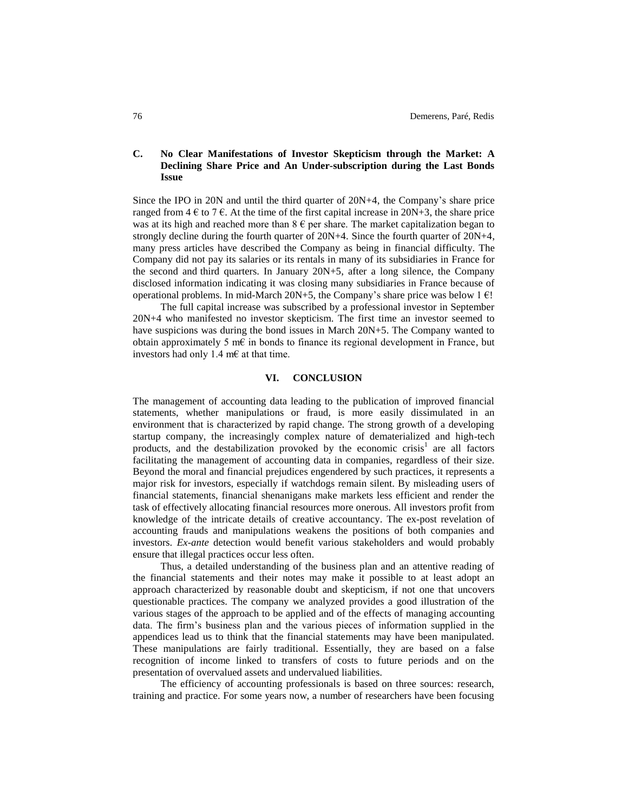# **C. No Clear Manifestations of Investor Skepticism through the Market: A Declining Share Price and An Under-subscription during the Last Bonds Issue**

Since the IPO in 20N and until the third quarter of 20N+4, the Company's share price ranged from  $4 \notin \mathfrak{c}$  7  $\in$ . At the time of the first capital increase in 20N+3, the share price was at its high and reached more than  $8 \epsilon$  per share. The market capitalization began to strongly decline during the fourth quarter of 20N+4. Since the fourth quarter of 20N+4, many press articles have described the Company as being in financial difficulty. The Company did not pay its salaries or its rentals in many of its subsidiaries in France for the second and third quarters. In January 20N+5, after a long silence, the Company disclosed information indicating it was closing many subsidiaries in France because of operational problems. In mid-March  $20N+5$ , the Company's share price was below 1  $\epsilon$ !

The full capital increase was subscribed by a professional investor in September 20N+4 who manifested no investor skepticism. The first time an investor seemed to have suspicions was during the bond issues in March 20N+5. The Company wanted to obtain approximately 5 m $\epsilon$  in bonds to finance its regional development in France, but investors had only 1.4 m€ at that time.

## **VI. CONCLUSION**

The management of accounting data leading to the publication of improved financial statements, whether manipulations or fraud, is more easily dissimulated in an environment that is characterized by rapid change. The strong growth of a developing startup company, the increasingly complex nature of dematerialized and high-tech products, and the destabilization provoked by the economic crisis<sup>1</sup> are all factors facilitating the management of accounting data in companies, regardless of their size. Beyond the moral and financial prejudices engendered by such practices, it represents a major risk for investors, especially if watchdogs remain silent. By misleading users of financial statements, financial shenanigans make markets less efficient and render the task of effectively allocating financial resources more onerous. All investors profit from knowledge of the intricate details of creative accountancy. The ex-post revelation of accounting frauds and manipulations weakens the positions of both companies and investors. *Ex-ante* detection would benefit various stakeholders and would probably ensure that illegal practices occur less often.

Thus, a detailed understanding of the business plan and an attentive reading of the financial statements and their notes may make it possible to at least adopt an approach characterized by reasonable doubt and skepticism, if not one that uncovers questionable practices. The company we analyzed provides a good illustration of the various stages of the approach to be applied and of the effects of managing accounting data. The firm's business plan and the various pieces of information supplied in the appendices lead us to think that the financial statements may have been manipulated. These manipulations are fairly traditional. Essentially, they are based on a false recognition of income linked to transfers of costs to future periods and on the presentation of overvalued assets and undervalued liabilities.

The efficiency of accounting professionals is based on three sources: research, training and practice. For some years now, a number of researchers have been focusing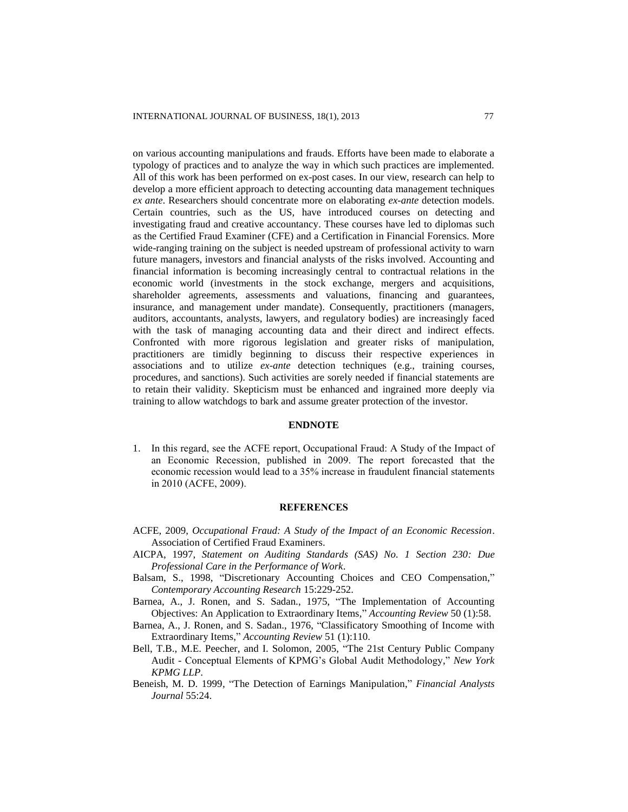on various accounting manipulations and frauds. Efforts have been made to elaborate a typology of practices and to analyze the way in which such practices are implemented. All of this work has been performed on ex-post cases. In our view, research can help to develop a more efficient approach to detecting accounting data management techniques *ex ante*. Researchers should concentrate more on elaborating *ex-ante* detection models. Certain countries, such as the US, have introduced courses on detecting and investigating fraud and creative accountancy. These courses have led to diplomas such as the Certified Fraud Examiner (CFE) and a Certification in Financial Forensics. More wide-ranging training on the subject is needed upstream of professional activity to warn future managers, investors and financial analysts of the risks involved. Accounting and financial information is becoming increasingly central to contractual relations in the economic world (investments in the stock exchange, mergers and acquisitions, shareholder agreements, assessments and valuations, financing and guarantees, insurance, and management under mandate). Consequently, practitioners (managers, auditors, accountants, analysts, lawyers, and regulatory bodies) are increasingly faced with the task of managing accounting data and their direct and indirect effects. Confronted with more rigorous legislation and greater risks of manipulation, practitioners are timidly beginning to discuss their respective experiences in associations and to utilize *ex-ante* detection techniques (e.g., training courses, procedures, and sanctions). Such activities are sorely needed if financial statements are to retain their validity. Skepticism must be enhanced and ingrained more deeply via training to allow watchdogs to bark and assume greater protection of the investor.

#### **ENDNOTE**

1. In this regard, see the ACFE report, Occupational Fraud: A Study of the Impact of an Economic Recession, published in 2009. The report forecasted that the economic recession would lead to a 35% increase in fraudulent financial statements in 2010 (ACFE, 2009).

# **REFERENCES**

- ACFE, 2009, *Occupational Fraud: A Study of the Impact of an Economic Recession*. Association of Certified Fraud Examiners.
- AICPA, 1997, *Statement on Auditing Standards (SAS) No. 1 Section 230: Due Professional Care in the Performance of Work*.
- Balsam, S., 1998, "Discretionary Accounting Choices and CEO Compensation," *Contemporary Accounting Research* 15:229-252.
- Barnea, A., J. Ronen, and S. Sadan., 1975, "The Implementation of Accounting Objectives: An Application to Extraordinary Items," *Accounting Review* 50 (1):58.
- Barnea, A., J. Ronen, and S. Sadan., 1976, "Classificatory Smoothing of Income with Extraordinary Items," *Accounting Review* 51 (1):110.
- Bell, T.B., M.E. Peecher, and I. Solomon, 2005, "The 21st Century Public Company Audit - Conceptual Elements of KPMG's Global Audit Methodology," *New York KPMG LLP*.
- Beneish, M. D. 1999, "The Detection of Earnings Manipulation," *Financial Analysts Journal* 55:24.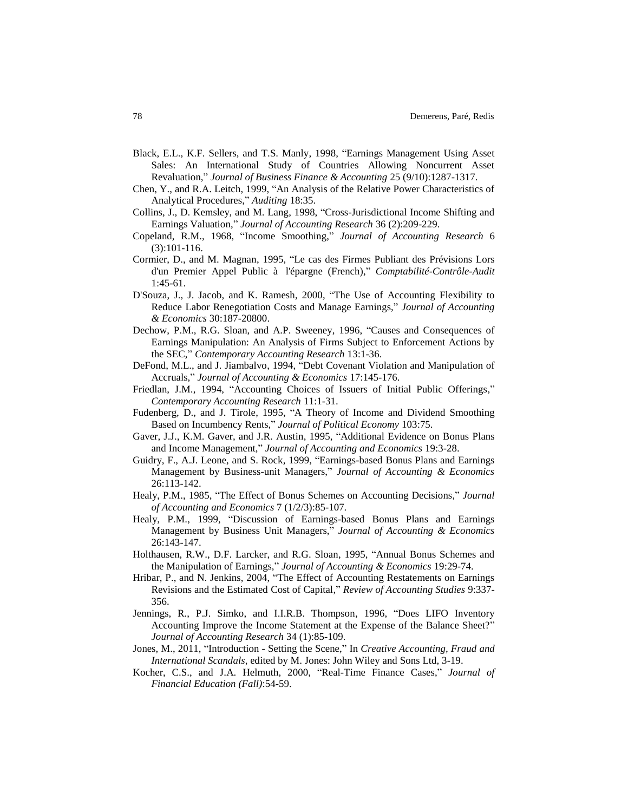- Black, E.L., K.F. Sellers, and T.S. Manly, 1998, "Earnings Management Using Asset Sales: An International Study of Countries Allowing Noncurrent Asset Revaluation," *Journal of Business Finance & Accounting* 25 (9/10):1287-1317.
- Chen, Y., and R.A. Leitch, 1999, "An Analysis of the Relative Power Characteristics of Analytical Procedures," *Auditing* 18:35.
- Collins, J., D. Kemsley, and M. Lang, 1998, "Cross-Jurisdictional Income Shifting and Earnings Valuation," *Journal of Accounting Research* 36 (2):209-229.
- Copeland, R.M., 1968, "Income Smoothing," *Journal of Accounting Research* 6 (3):101-116.
- Cormier, D., and M. Magnan, 1995, "Le cas des Firmes Publiant des Prévisions Lors d'un Premier Appel Public à l'épargne (French)," *Comptabilité-Contrôle-Audit* 1:45-61.
- D'Souza, J., J. Jacob, and K. Ramesh, 2000, "The Use of Accounting Flexibility to Reduce Labor Renegotiation Costs and Manage Earnings," *Journal of Accounting & Economics* 30:187-20800.
- Dechow, P.M., R.G. Sloan, and A.P. Sweeney, 1996, "Causes and Consequences of Earnings Manipulation: An Analysis of Firms Subject to Enforcement Actions by the SEC," *Contemporary Accounting Research* 13:1-36.
- DeFond, M.L., and J. Jiambalvo, 1994, "Debt Covenant Violation and Manipulation of Accruals," *Journal of Accounting & Economics* 17:145-176.
- Friedlan, J.M., 1994, "Accounting Choices of Issuers of Initial Public Offerings," *Contemporary Accounting Research* 11:1-31.
- Fudenberg, D., and J. Tirole, 1995, "A Theory of Income and Dividend Smoothing Based on Incumbency Rents," *Journal of Political Economy* 103:75.
- Gaver, J.J., K.M. Gaver, and J.R. Austin, 1995, "Additional Evidence on Bonus Plans and Income Management," *Journal of Accounting and Economics* 19:3-28.
- Guidry, F., A.J. Leone, and S. Rock, 1999, "Earnings-based Bonus Plans and Earnings Management by Business-unit Managers," *Journal of Accounting & Economics* 26:113-142.
- Healy, P.M., 1985, "The Effect of Bonus Schemes on Accounting Decisions," *Journal of Accounting and Economics* 7 (1/2/3):85-107.
- Healy, P.M., 1999, "Discussion of Earnings-based Bonus Plans and Earnings Management by Business Unit Managers," *Journal of Accounting & Economics* 26:143-147.
- Holthausen, R.W., D.F. Larcker, and R.G. Sloan, 1995, "Annual Bonus Schemes and the Manipulation of Earnings," *Journal of Accounting & Economics* 19:29-74.
- Hribar, P., and N. Jenkins, 2004, "The Effect of Accounting Restatements on Earnings Revisions and the Estimated Cost of Capital," *Review of Accounting Studies* 9:337- 356.
- Jennings, R., P.J. Simko, and I.I.R.B. Thompson, 1996, "Does LIFO Inventory Accounting Improve the Income Statement at the Expense of the Balance Sheet?" *Journal of Accounting Research* 34 (1):85-109.
- Jones, M., 2011, "Introduction Setting the Scene," In *Creative Accounting, Fraud and International Scandals*, edited by M. Jones: John Wiley and Sons Ltd, 3-19.
- Kocher, C.S., and J.A. Helmuth, 2000, "Real-Time Finance Cases," *Journal of Financial Education (Fall)*:54-59.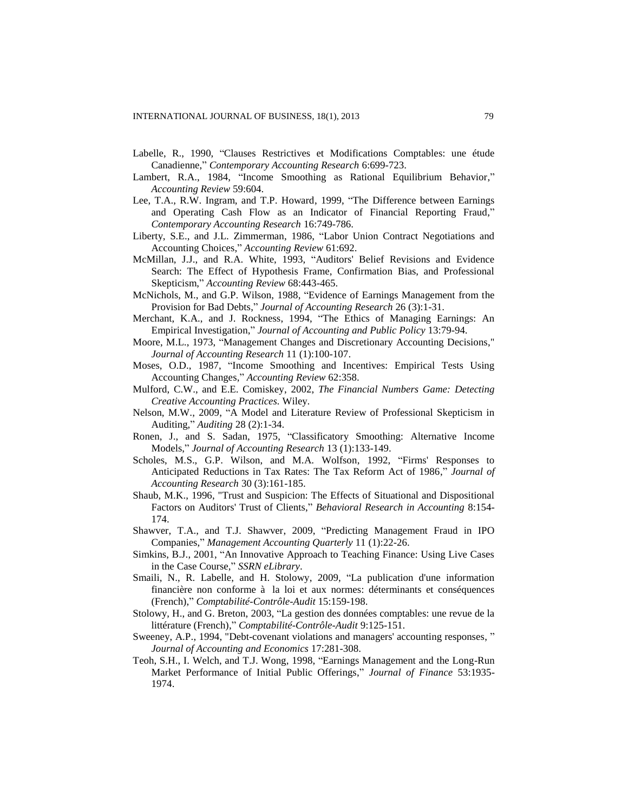- Labelle, R., 1990, "Clauses Restrictives et Modifications Comptables: une étude Canadienne," *Contemporary Accounting Research* 6:699-723.
- Lambert, R.A., 1984, "Income Smoothing as Rational Equilibrium Behavior," *Accounting Review* 59:604.
- Lee, T.A., R.W. Ingram, and T.P. Howard, 1999, "The Difference between Earnings and Operating Cash Flow as an Indicator of Financial Reporting Fraud," *Contemporary Accounting Research* 16:749-786.
- Liberty, S.E., and J.L. Zimmerman, 1986, "Labor Union Contract Negotiations and Accounting Choices," *Accounting Review* 61:692.
- McMillan, J.J., and R.A. White, 1993, "Auditors' Belief Revisions and Evidence Search: The Effect of Hypothesis Frame, Confirmation Bias, and Professional Skepticism," *Accounting Review* 68:443-465.
- McNichols, M., and G.P. Wilson, 1988, "Evidence of Earnings Management from the Provision for Bad Debts," *Journal of Accounting Research* 26 (3):1-31.
- Merchant, K.A., and J. Rockness, 1994, "The Ethics of Managing Earnings: An Empirical Investigation," *Journal of Accounting and Public Policy* 13:79-94.
- Moore, M.L., 1973, "Management Changes and Discretionary Accounting Decisions," *Journal of Accounting Research* 11 (1):100-107.
- Moses, O.D., 1987, "Income Smoothing and Incentives: Empirical Tests Using Accounting Changes," *Accounting Review* 62:358.
- Mulford, C.W., and E.E. Comiskey, 2002, *The Financial Numbers Game: Detecting Creative Accounting Practices.* Wiley.
- Nelson, M.W., 2009, "A Model and Literature Review of Professional Skepticism in Auditing," *Auditing* 28 (2):1-34.
- Ronen, J., and S. Sadan, 1975, "Classificatory Smoothing: Alternative Income Models," *Journal of Accounting Research* 13 (1):133-149.
- Scholes, M.S., G.P. Wilson, and M.A. Wolfson, 1992, "Firms' Responses to Anticipated Reductions in Tax Rates: The Tax Reform Act of 1986," *Journal of Accounting Research* 30 (3):161-185.
- Shaub, M.K., 1996, "Trust and Suspicion: The Effects of Situational and Dispositional Factors on Auditors' Trust of Clients," *Behavioral Research in Accounting* 8:154- 174.
- Shawver, T.A., and T.J. Shawver, 2009, "Predicting Management Fraud in IPO Companies," *Management Accounting Quarterly* 11 (1):22-26.
- Simkins, B.J., 2001, "An Innovative Approach to Teaching Finance: Using Live Cases in the Case Course," *SSRN eLibrary*.
- Smaili, N., R. Labelle, and H. Stolowy, 2009, "La publication d'une information financière non conforme à la loi et aux normes: déterminants et conséquences (French)," *Comptabilité-Contrôle-Audit* 15:159-198.
- Stolowy, H., and G. Breton, 2003, "La gestion des données comptables: une revue de la littérature (French)," *Comptabilité-Contrôle-Audit* 9:125-151.
- Sweeney, A.P., 1994, "Debt-covenant violations and managers' accounting responses, " *Journal of Accounting and Economics* 17:281-308.
- Teoh, S.H., I. Welch, and T.J. Wong, 1998, "Earnings Management and the Long-Run Market Performance of Initial Public Offerings," *Journal of Finance* 53:1935- 1974.